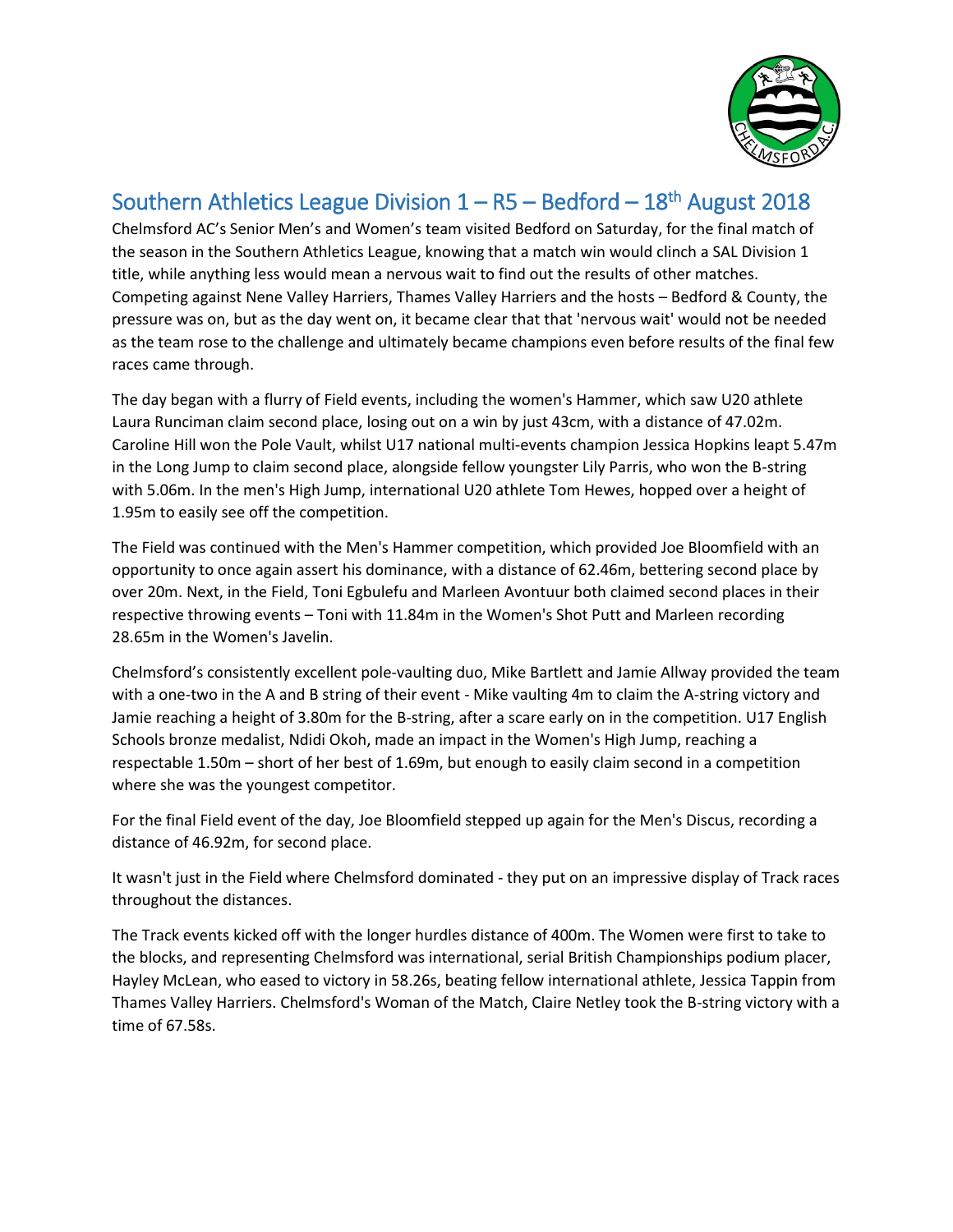

## Southern Athletics League Division  $1 - R5 - Bedford - 18<sup>th</sup>$  August 2018

Chelmsford AC's Senior Men's and Women's team visited Bedford on Saturday, for the final match of the season in the Southern Athletics League, knowing that a match win would clinch a SAL Division 1 title, while anything less would mean a nervous wait to find out the results of other matches. Competing against Nene Valley Harriers, Thames Valley Harriers and the hosts – Bedford & County, the pressure was on, but as the day went on, it became clear that that 'nervous wait' would not be needed as the team rose to the challenge and ultimately became champions even before results of the final few races came through.

The day began with a flurry of Field events, including the women's Hammer, which saw U20 athlete Laura Runciman claim second place, losing out on a win by just 43cm, with a distance of 47.02m. Caroline Hill won the Pole Vault, whilst U17 national multi-events champion Jessica Hopkins leapt 5.47m in the Long Jump to claim second place, alongside fellow youngster Lily Parris, who won the B-string with 5.06m. In the men's High Jump, international U20 athlete Tom Hewes, hopped over a height of 1.95m to easily see off the competition.

The Field was continued with the Men's Hammer competition, which provided Joe Bloomfield with an opportunity to once again assert his dominance, with a distance of 62.46m, bettering second place by over 20m. Next, in the Field, Toni Egbulefu and Marleen Avontuur both claimed second places in their respective throwing events – Toni with 11.84m in the Women's Shot Putt and Marleen recording 28.65m in the Women's Javelin.

Chelmsford's consistently excellent pole-vaulting duo, Mike Bartlett and Jamie Allway provided the team with a one-two in the A and B string of their event - Mike vaulting 4m to claim the A-string victory and Jamie reaching a height of 3.80m for the B-string, after a scare early on in the competition. U17 English Schools bronze medalist, Ndidi Okoh, made an impact in the Women's High Jump, reaching a respectable 1.50m – short of her best of 1.69m, but enough to easily claim second in a competition where she was the youngest competitor.

For the final Field event of the day, Joe Bloomfield stepped up again for the Men's Discus, recording a distance of 46.92m, for second place.

It wasn't just in the Field where Chelmsford dominated - they put on an impressive display of Track races throughout the distances.

The Track events kicked off with the longer hurdles distance of 400m. The Women were first to take to the blocks, and representing Chelmsford was international, serial British Championships podium placer, Hayley McLean, who eased to victory in 58.26s, beating fellow international athlete, Jessica Tappin from Thames Valley Harriers. Chelmsford's Woman of the Match, Claire Netley took the B-string victory with a time of 67.58s.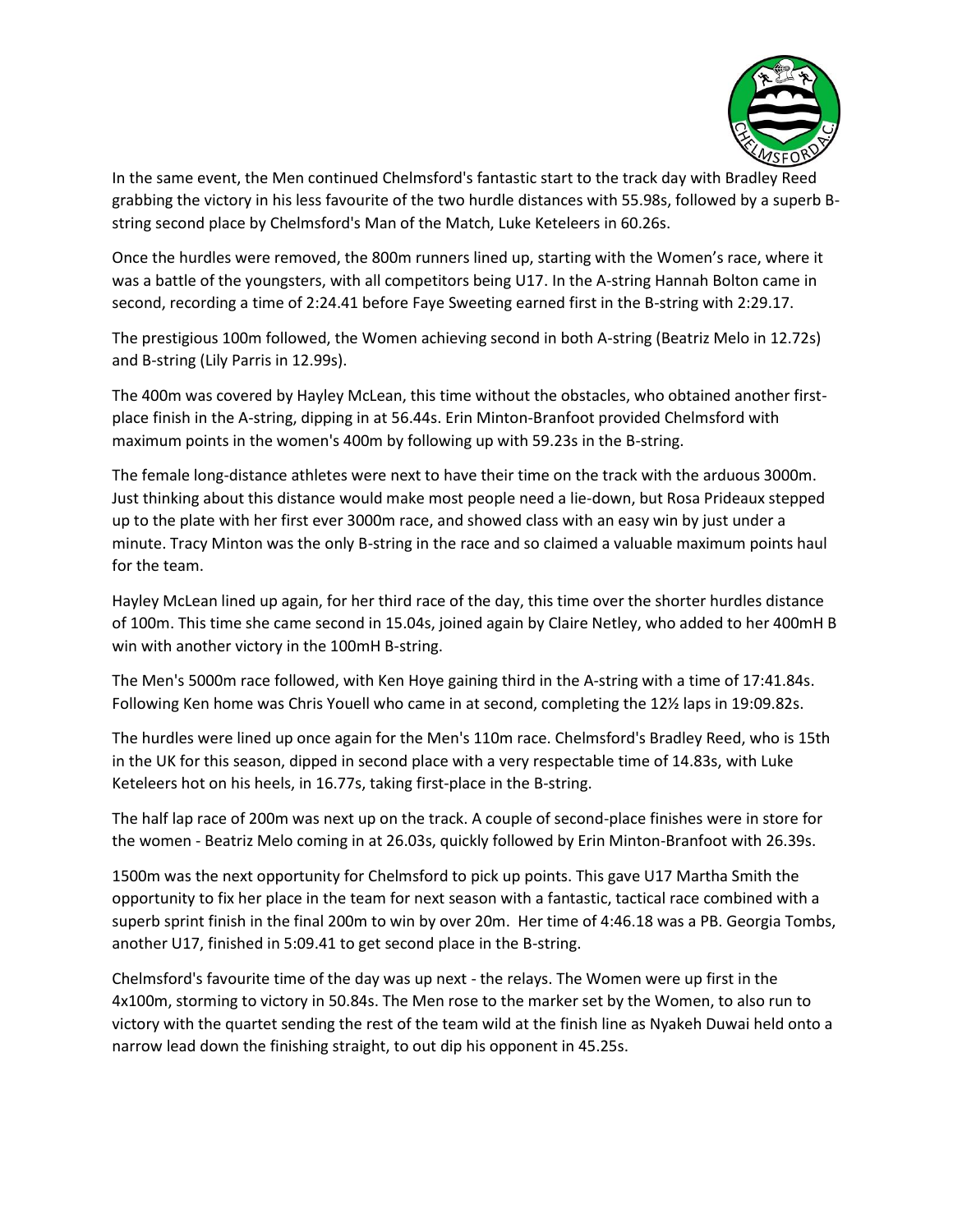

In the same event, the Men continued Chelmsford's fantastic start to the track day with Bradley Reed grabbing the victory in his less favourite of the two hurdle distances with 55.98s, followed by a superb Bstring second place by Chelmsford's Man of the Match, Luke Keteleers in 60.26s.

Once the hurdles were removed, the 800m runners lined up, starting with the Women's race, where it was a battle of the youngsters, with all competitors being U17. In the A-string Hannah Bolton came in second, recording a time of 2:24.41 before Faye Sweeting earned first in the B-string with 2:29.17.

The prestigious 100m followed, the Women achieving second in both A-string (Beatriz Melo in 12.72s) and B-string (Lily Parris in 12.99s).

The 400m was covered by Hayley McLean, this time without the obstacles, who obtained another firstplace finish in the A-string, dipping in at 56.44s. Erin Minton-Branfoot provided Chelmsford with maximum points in the women's 400m by following up with 59.23s in the B-string.

The female long-distance athletes were next to have their time on the track with the arduous 3000m. Just thinking about this distance would make most people need a lie-down, but Rosa Prideaux stepped up to the plate with her first ever 3000m race, and showed class with an easy win by just under a minute. Tracy Minton was the only B-string in the race and so claimed a valuable maximum points haul for the team.

Hayley McLean lined up again, for her third race of the day, this time over the shorter hurdles distance of 100m. This time she came second in 15.04s, joined again by Claire Netley, who added to her 400mH B win with another victory in the 100mH B-string.

The Men's 5000m race followed, with Ken Hoye gaining third in the A-string with a time of 17:41.84s. Following Ken home was Chris Youell who came in at second, completing the 12½ laps in 19:09.82s.

The hurdles were lined up once again for the Men's 110m race. Chelmsford's Bradley Reed, who is 15th in the UK for this season, dipped in second place with a very respectable time of 14.83s, with Luke Keteleers hot on his heels, in 16.77s, taking first-place in the B-string.

The half lap race of 200m was next up on the track. A couple of second-place finishes were in store for the women - Beatriz Melo coming in at 26.03s, quickly followed by Erin Minton-Branfoot with 26.39s.

1500m was the next opportunity for Chelmsford to pick up points. This gave U17 Martha Smith the opportunity to fix her place in the team for next season with a fantastic, tactical race combined with a superb sprint finish in the final 200m to win by over 20m. Her time of 4:46.18 was a PB. Georgia Tombs, another U17, finished in 5:09.41 to get second place in the B-string.

Chelmsford's favourite time of the day was up next - the relays. The Women were up first in the 4x100m, storming to victory in 50.84s. The Men rose to the marker set by the Women, to also run to victory with the quartet sending the rest of the team wild at the finish line as Nyakeh Duwai held onto a narrow lead down the finishing straight, to out dip his opponent in 45.25s.